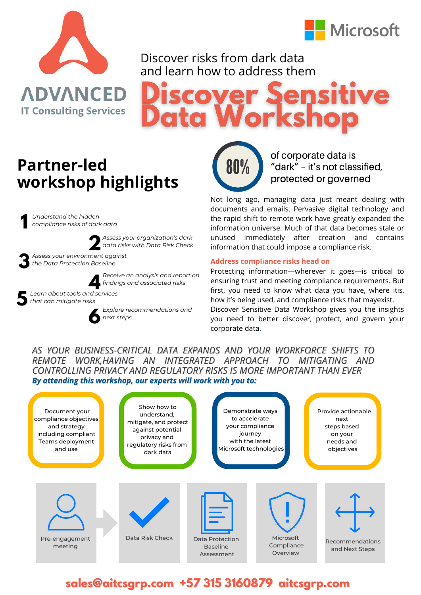



#### Discover risks from dark data and learn how to address them

# Works ta I

## **Partner-led workshop highlights**

*Understand the hidden compliance risks of dark data* **1**



*data risks with Data Risk Check Assess your environment against* **2** *the Data Protection Baseline*



*Receive an analysis and report on findings and associated risks* **4**

*Assess your organization's dark*



**3**

*Learn about tools and services* **b** that can mitigate risks



*Explore recommendations and next steps*



of corporate data is "dark" – it's not classified, protected or governed

Not long ago, managing data just meant dealing with documents and emails. Pervasive digital technology and the rapid shift to remote work have greatly expanded the information universe. Much of that data becomes stale or unused immediately after creation and contains information that could impose a compliance risk.

#### **Address compliance risks head on**

Protecting information—wherever it goes—is critical to ensuring trust and meeting compliance requirements. But first, you need to know what data you have, where itis, how it's being used, and compliance risks that mayexist. Discover Sensitive Data Workshop gives you the insights you need to better discover, protect, and govern your corporate data.

#### *AS YOUR BUSINESS-CRITICAL DATA EXPANDS AND YOUR WORKFORCE SHIFTS TO REMOTE WORK,HAVING AN INTEGRATED APPROACH TO MITIGATING AND CONTROLLING PRIVACY AND REGULATORY RISKS IS MORE IMPORTANT THAN EVER By attending this workshop, our experts will work with you to:*



### **sales@aitcsgrp.com +57 315 3160879 aitcsgrp.com**